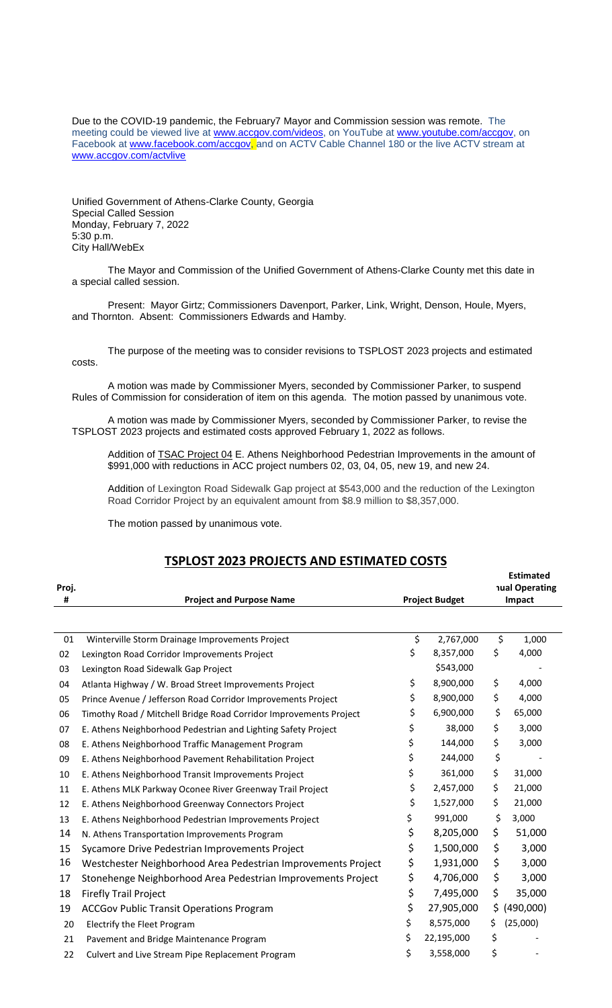Due to the COVID-19 pandemic, the February7 Mayor and Commission session was remote. The meeting could be viewed live at [www.accgov.com/videos,](http://www.accgov.com/videos) on YouTube at [www.youtube.com/accgov,](http://www.youtube.com/accgov) on Facebook at [www.facebook.com/accgov,](http://www.facebook.com/accgov) and on ACTV Cable Channel 180 or the live ACTV stream at [www.accgov.com/actvlive](http://www.accgov.com/actvlive)

Unified Government of Athens-Clarke County, Georgia Special Called Session Monday, February 7, 2022 5:30 p.m. City Hall/WebEx

The Mayor and Commission of the Unified Government of Athens-Clarke County met this date in a special called session.

Present: Mayor Girtz; Commissioners Davenport, Parker, Link, Wright, Denson, Houle, Myers, and Thornton. Absent: Commissioners Edwards and Hamby.

The purpose of the meeting was to consider revisions to TSPLOST 2023 projects and estimated costs.

A motion was made by Commissioner Myers, seconded by Commissioner Parker, to suspend Rules of Commission for consideration of item on this agenda. The motion passed by unanimous vote.

A motion was made by Commissioner Myers, seconded by Commissioner Parker, to revise the TSPLOST 2023 projects and estimated costs approved February 1, 2022 as follows.

Addition of **TSAC Project 04 E.** Athens Neighborhood Pedestrian Improvements in the amount of \$991,000 with reductions in ACC project numbers 02, 03, 04, 05, new 19, and new 24.

Addition of Lexington Road Sidewalk Gap project at \$543,000 and the reduction of the Lexington Road Corridor Project by an equivalent amount from \$8.9 million to \$8,357,000.

The motion passed by unanimous vote.

## **TSPLOST 2023 PROJECTS AND ESTIMATED COSTS**

|       |                                                                   |                       |     | <b>Estimated</b>      |  |
|-------|-------------------------------------------------------------------|-----------------------|-----|-----------------------|--|
| Proj. |                                                                   | <b>Project Budget</b> |     | <b>nual Operating</b> |  |
| #     | <b>Project and Purpose Name</b>                                   |                       |     | Impact                |  |
|       |                                                                   |                       |     |                       |  |
| 01    | Winterville Storm Drainage Improvements Project                   | \$<br>2,767,000       | \$  | 1,000                 |  |
| 02    | Lexington Road Corridor Improvements Project                      | \$<br>8,357,000       | \$  | 4,000                 |  |
| 03    | Lexington Road Sidewalk Gap Project                               | \$543,000             |     |                       |  |
| 04    | Atlanta Highway / W. Broad Street Improvements Project            | \$<br>8,900,000       | \$  | 4,000                 |  |
| 05    | Prince Avenue / Jefferson Road Corridor Improvements Project      | \$<br>8,900,000       | \$  | 4,000                 |  |
| 06    | Timothy Road / Mitchell Bridge Road Corridor Improvements Project | \$<br>6,900,000       | \$  | 65,000                |  |
| 07    | E. Athens Neighborhood Pedestrian and Lighting Safety Project     | \$<br>38,000          | \$  | 3,000                 |  |
| 08    | E. Athens Neighborhood Traffic Management Program                 | \$<br>144,000         | \$  | 3,000                 |  |
| 09    | E. Athens Neighborhood Pavement Rehabilitation Project            | \$<br>244,000         | \$  |                       |  |
| 10    | E. Athens Neighborhood Transit Improvements Project               | \$<br>361,000         | \$  | 31,000                |  |
| 11    | E. Athens MLK Parkway Oconee River Greenway Trail Project         | \$<br>2,457,000       | \$  | 21,000                |  |
| 12    | E. Athens Neighborhood Greenway Connectors Project                | \$<br>1,527,000       | \$  | 21,000                |  |
| 13    | E. Athens Neighborhood Pedestrian Improvements Project            | \$<br>991,000         | \$  | 3,000                 |  |
| 14    | N. Athens Transportation Improvements Program                     | \$<br>8,205,000       | \$  | 51,000                |  |
| 15    | Sycamore Drive Pedestrian Improvements Project                    | \$<br>1,500,000       | \$  | 3,000                 |  |
| 16    | Westchester Neighborhood Area Pedestrian Improvements Project     | \$<br>1,931,000       | \$  | 3,000                 |  |
| 17    | Stonehenge Neighborhood Area Pedestrian Improvements Project      | \$<br>4,706,000       | \$  | 3,000                 |  |
| 18    | <b>Firefly Trail Project</b>                                      | \$<br>7,495,000       | \$  | 35,000                |  |
| 19    | <b>ACCGov Public Transit Operations Program</b>                   | \$<br>27,905,000      | \$. | (490,000)             |  |
| 20    | Electrify the Fleet Program                                       | \$<br>8,575,000       | \$  | (25,000)              |  |
| 21    | Pavement and Bridge Maintenance Program                           | \$<br>22,195,000      | \$  |                       |  |
| 22    | Culvert and Live Stream Pipe Replacement Program                  | \$<br>3,558,000       | \$  |                       |  |
|       |                                                                   |                       |     |                       |  |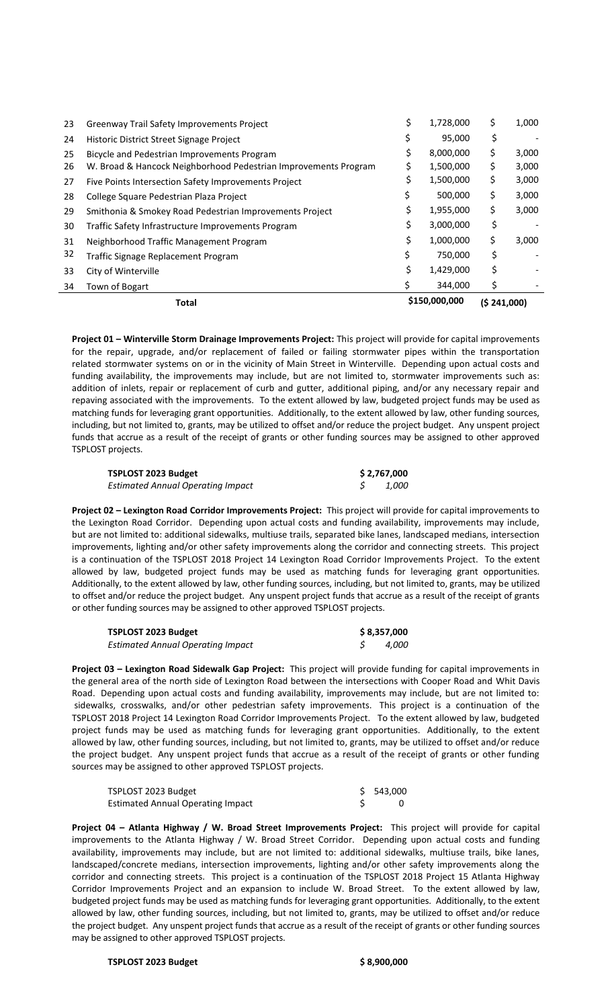|    | <b>Total</b>                                                    |    | \$150,000,000 | (S 241,000) |       |
|----|-----------------------------------------------------------------|----|---------------|-------------|-------|
| 34 | Town of Bogart                                                  |    | 344,000       | S           |       |
| 33 | City of Winterville                                             |    | 1,429,000     | Ś           |       |
| 32 | Traffic Signage Replacement Program                             |    | 750,000       | \$          |       |
| 31 | Neighborhood Traffic Management Program                         | \$ | 1,000,000     | \$          | 3,000 |
| 30 | Traffic Safety Infrastructure Improvements Program              | \$ | 3,000,000     | \$          |       |
| 29 | Smithonia & Smokey Road Pedestrian Improvements Project         | \$ | 1,955,000     | \$          | 3,000 |
| 28 | College Square Pedestrian Plaza Project                         |    | 500,000       | \$          | 3,000 |
| 27 | Five Points Intersection Safety Improvements Project            |    | 1,500,000     | \$          | 3,000 |
| 26 | W. Broad & Hancock Neighborhood Pedestrian Improvements Program | S  | 1,500,000     | \$          | 3,000 |
| 25 | Bicycle and Pedestrian Improvements Program                     | \$ | 8,000,000     | Ş           | 3,000 |
| 24 | Historic District Street Signage Project                        |    | 95,000        | Ş           |       |
| 23 | Greenway Trail Safety Improvements Project                      | \$ | 1,728,000     | S           | 1,000 |

**Project 01 – Winterville Storm Drainage Improvements Project:** This project will provide for capital improvements for the repair, upgrade, and/or replacement of failed or failing stormwater pipes within the transportation related stormwater systems on or in the vicinity of Main Street in Winterville. Depending upon actual costs and funding availability, the improvements may include, but are not limited to, stormwater improvements such as: addition of inlets, repair or replacement of curb and gutter, additional piping, and/or any necessary repair and repaving associated with the improvements. To the extent allowed by law, budgeted project funds may be used as matching funds for leveraging grant opportunities. Additionally, to the extent allowed by law, other funding sources, including, but not limited to, grants, may be utilized to offset and/or reduce the project budget. Any unspent project funds that accrue as a result of the receipt of grants or other funding sources may be assigned to other approved TSPLOST projects.

| TSPLOST 2023 Budget                      | \$2,767,000 |              |  |
|------------------------------------------|-------------|--------------|--|
| <b>Estimated Annual Operating Impact</b> |             | <i>1,000</i> |  |

**Project 02 – Lexington Road Corridor Improvements Project:** This project will provide for capital improvements to the Lexington Road Corridor. Depending upon actual costs and funding availability, improvements may include, but are not limited to: additional sidewalks, multiuse trails, separated bike lanes, landscaped medians, intersection improvements, lighting and/or other safety improvements along the corridor and connecting streets. This project is a continuation of the TSPLOST 2018 Project 14 Lexington Road Corridor Improvements Project. To the extent allowed by law, budgeted project funds may be used as matching funds for leveraging grant opportunities. Additionally, to the extent allowed by law, other funding sources, including, but not limited to, grants, may be utilized to offset and/or reduce the project budget. Any unspent project funds that accrue as a result of the receipt of grants or other funding sources may be assigned to other approved TSPLOST projects.

| TSPLOST 2023 Budget                      | \$8,357,000 |              |  |
|------------------------------------------|-------------|--------------|--|
| <b>Estimated Annual Operating Impact</b> |             | <i>4,000</i> |  |

**Project 03 – Lexington Road Sidewalk Gap Project:** This project will provide funding for capital improvements in the general area of the north side of Lexington Road between the intersections with Cooper Road and Whit Davis Road. Depending upon actual costs and funding availability, improvements may include, but are not limited to: sidewalks, crosswalks, and/or other pedestrian safety improvements. This project is a continuation of the TSPLOST 2018 Project 14 Lexington Road Corridor Improvements Project. To the extent allowed by law, budgeted project funds may be used as matching funds for leveraging grant opportunities. Additionally, to the extent allowed by law, other funding sources, including, but not limited to, grants, may be utilized to offset and/or reduce the project budget. Any unspent project funds that accrue as a result of the receipt of grants or other funding sources may be assigned to other approved TSPLOST projects.

| TSPLOST 2023 Budget               | \$543.000 |
|-----------------------------------|-----------|
| Estimated Annual Operating Impact |           |

**Project 04 – Atlanta Highway / W. Broad Street Improvements Project:** This project will provide for capital improvements to the Atlanta Highway / W. Broad Street Corridor. Depending upon actual costs and funding availability, improvements may include, but are not limited to: additional sidewalks, multiuse trails, bike lanes, landscaped/concrete medians, intersection improvements, lighting and/or other safety improvements along the corridor and connecting streets. This project is a continuation of the TSPLOST 2018 Project 15 Atlanta Highway Corridor Improvements Project and an expansion to include W. Broad Street. To the extent allowed by law, budgeted project funds may be used as matching funds for leveraging grant opportunities. Additionally, to the extent allowed by law, other funding sources, including, but not limited to, grants, may be utilized to offset and/or reduce the project budget. Any unspent project funds that accrue as a result of the receipt of grants or other funding sources may be assigned to other approved TSPLOST projects.

## **TSPLOST 2023 Budget \$ 8,900,000**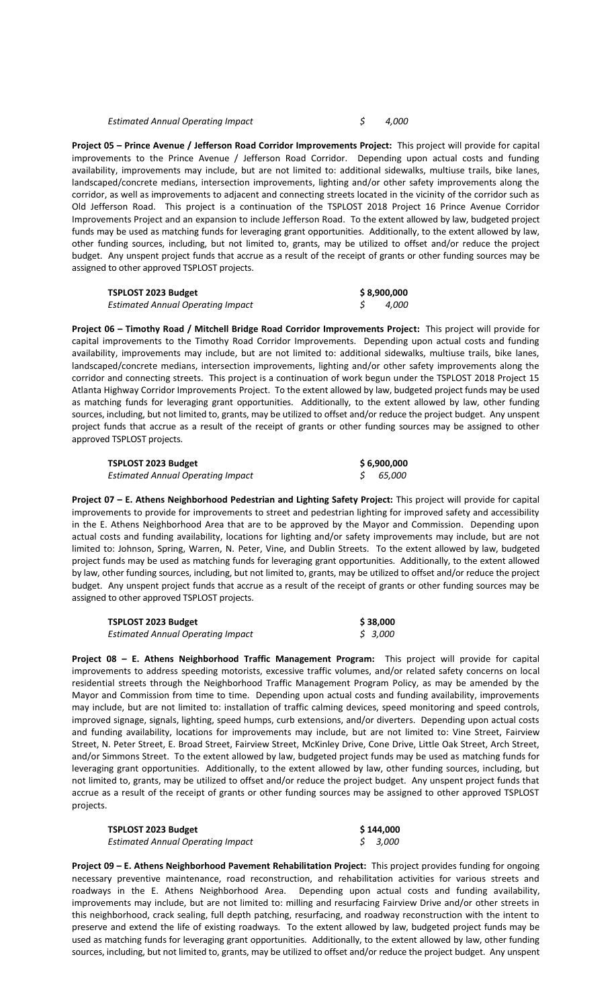## *Estimated Annual Operating Impact \$ 4,000*

**Project 05 – Prince Avenue / Jefferson Road Corridor Improvements Project:** This project will provide for capital improvements to the Prince Avenue / Jefferson Road Corridor. Depending upon actual costs and funding availability, improvements may include, but are not limited to: additional sidewalks, multiuse trails, bike lanes, landscaped/concrete medians, intersection improvements, lighting and/or other safety improvements along the corridor, as well as improvements to adjacent and connecting streets located in the vicinity of the corridor such as Old Jefferson Road. This project is a continuation of the TSPLOST 2018 Project 16 Prince Avenue Corridor Improvements Project and an expansion to include Jefferson Road. To the extent allowed by law, budgeted project funds may be used as matching funds for leveraging grant opportunities. Additionally, to the extent allowed by law, other funding sources, including, but not limited to, grants, may be utilized to offset and/or reduce the project budget. Any unspent project funds that accrue as a result of the receipt of grants or other funding sources may be assigned to other approved TSPLOST projects.

| <b>TSPLOST 2023 Budget</b>               | \$8,900,000  |
|------------------------------------------|--------------|
| <b>Estimated Annual Operating Impact</b> | <i>4,000</i> |

**Project 06 – Timothy Road / Mitchell Bridge Road Corridor Improvements Project:** This project will provide for capital improvements to the Timothy Road Corridor Improvements. Depending upon actual costs and funding availability, improvements may include, but are not limited to: additional sidewalks, multiuse trails, bike lanes, landscaped/concrete medians, intersection improvements, lighting and/or other safety improvements along the corridor and connecting streets. This project is a continuation of work begun under the TSPLOST 2018 Project 15 Atlanta Highway Corridor Improvements Project. To the extent allowed by law, budgeted project funds may be used as matching funds for leveraging grant opportunities. Additionally, to the extent allowed by law, other funding sources, including, but not limited to, grants, may be utilized to offset and/or reduce the project budget. Any unspent project funds that accrue as a result of the receipt of grants or other funding sources may be assigned to other approved TSPLOST projects.

| TSPLOST 2023 Budget                      | \$6,900,000 |        |  |
|------------------------------------------|-------------|--------|--|
| <b>Estimated Annual Operating Impact</b> |             | 65.000 |  |

**Project 07 – E. Athens Neighborhood Pedestrian and Lighting Safety Project:** This project will provide for capital improvements to provide for improvements to street and pedestrian lighting for improved safety and accessibility in the E. Athens Neighborhood Area that are to be approved by the Mayor and Commission. Depending upon actual costs and funding availability, locations for lighting and/or safety improvements may include, but are not limited to: Johnson, Spring, Warren, N. Peter, Vine, and Dublin Streets. To the extent allowed by law, budgeted project funds may be used as matching funds for leveraging grant opportunities. Additionally, to the extent allowed by law, other funding sources, including, but not limited to, grants, may be utilized to offset and/or reduce the project budget. Any unspent project funds that accrue as a result of the receipt of grants or other funding sources may be assigned to other approved TSPLOST projects.

| TSPLOST 2023 Budget                      | \$38,000 |
|------------------------------------------|----------|
| <b>Estimated Annual Operating Impact</b> | \$ 3.000 |

**Project 08 – E. Athens Neighborhood Traffic Management Program:** This project will provide for capital improvements to address speeding motorists, excessive traffic volumes, and/or related safety concerns on local residential streets through the Neighborhood Traffic Management Program Policy, as may be amended by the Mayor and Commission from time to time. Depending upon actual costs and funding availability, improvements may include, but are not limited to: installation of traffic calming devices, speed monitoring and speed controls, improved signage, signals, lighting, speed humps, curb extensions, and/or diverters. Depending upon actual costs and funding availability, locations for improvements may include, but are not limited to: Vine Street, Fairview Street, N. Peter Street, E. Broad Street, Fairview Street, McKinley Drive, Cone Drive, Little Oak Street, Arch Street, and/or Simmons Street. To the extent allowed by law, budgeted project funds may be used as matching funds for leveraging grant opportunities. Additionally, to the extent allowed by law, other funding sources, including, but not limited to, grants, may be utilized to offset and/or reduce the project budget. Any unspent project funds that accrue as a result of the receipt of grants or other funding sources may be assigned to other approved TSPLOST projects.

| <b>TSPLOST 2023 Budget</b>               | \$144,000 |          |
|------------------------------------------|-----------|----------|
| <b>Estimated Annual Operating Impact</b> |           | 5, 3,000 |

**Project 09 – E. Athens Neighborhood Pavement Rehabilitation Project:** This project provides funding for ongoing necessary preventive maintenance, road reconstruction, and rehabilitation activities for various streets and roadways in the E. Athens Neighborhood Area. Depending upon actual costs and funding availability, improvements may include, but are not limited to: milling and resurfacing Fairview Drive and/or other streets in this neighborhood, crack sealing, full depth patching, resurfacing, and roadway reconstruction with the intent to preserve and extend the life of existing roadways. To the extent allowed by law, budgeted project funds may be used as matching funds for leveraging grant opportunities. Additionally, to the extent allowed by law, other funding sources, including, but not limited to, grants, may be utilized to offset and/or reduce the project budget. Any unspent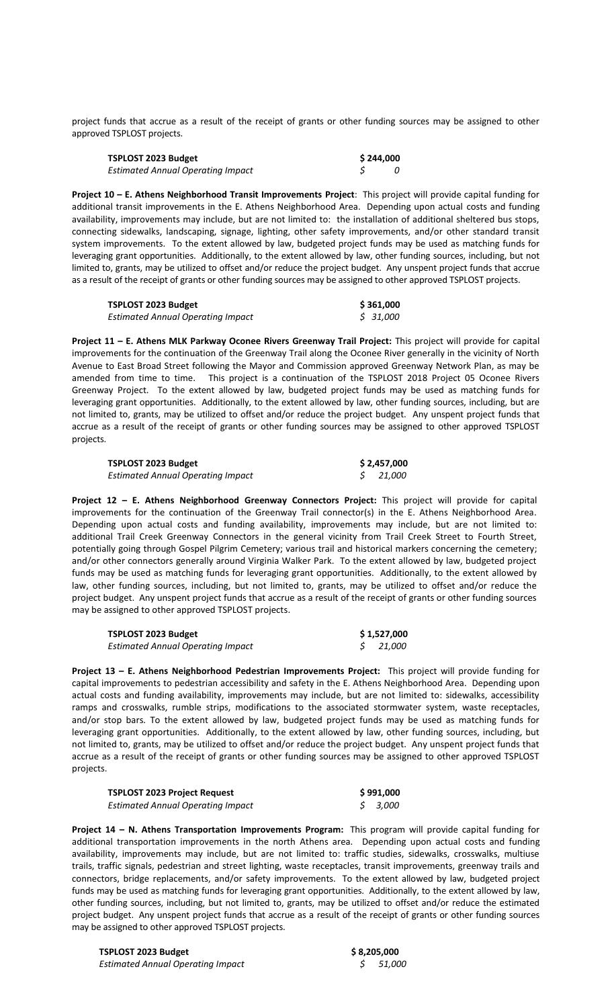project funds that accrue as a result of the receipt of grants or other funding sources may be assigned to other approved TSPLOST projects.

| TSPLOST 2023 Budget               | \$244.000 |  |
|-----------------------------------|-----------|--|
| Estimated Annual Operating Impact |           |  |

**Project 10 – E. Athens Neighborhood Transit Improvements Project**: This project will provide capital funding for additional transit improvements in the E. Athens Neighborhood Area. Depending upon actual costs and funding availability, improvements may include, but are not limited to: the installation of additional sheltered bus stops, connecting sidewalks, landscaping, signage, lighting, other safety improvements, and/or other standard transit system improvements. To the extent allowed by law, budgeted project funds may be used as matching funds for leveraging grant opportunities. Additionally, to the extent allowed by law, other funding sources, including, but not limited to, grants, may be utilized to offset and/or reduce the project budget. Any unspent project funds that accrue as a result of the receipt of grants or other funding sources may be assigned to other approved TSPLOST projects.

| TSPLOST 2023 Budget               | \$361,000 |
|-----------------------------------|-----------|
| Estimated Annual Operating Impact | \$ 31,000 |

**Project 11 – E. Athens MLK Parkway Oconee Rivers Greenway Trail Project:** This project will provide for capital improvements for the continuation of the Greenway Trail along the Oconee River generally in the vicinity of North Avenue to East Broad Street following the Mayor and Commission approved Greenway Network Plan, as may be amended from time to time. This project is a continuation of the TSPLOST 2018 Project 05 Oconee Rivers Greenway Project. To the extent allowed by law, budgeted project funds may be used as matching funds for leveraging grant opportunities. Additionally, to the extent allowed by law, other funding sources, including, but are not limited to, grants, may be utilized to offset and/or reduce the project budget. Any unspent project funds that accrue as a result of the receipt of grants or other funding sources may be assigned to other approved TSPLOST projects.

| TSPLOST 2023 Budget                      | \$2,457,000 |          |  |
|------------------------------------------|-------------|----------|--|
| <b>Estimated Annual Operating Impact</b> |             | \$21.000 |  |

**Project 12 – E. Athens Neighborhood Greenway Connectors Project:** This project will provide for capital improvements for the continuation of the Greenway Trail connector(s) in the E. Athens Neighborhood Area. Depending upon actual costs and funding availability, improvements may include, but are not limited to: additional Trail Creek Greenway Connectors in the general vicinity from Trail Creek Street to Fourth Street, potentially going through Gospel Pilgrim Cemetery; various trail and historical markers concerning the cemetery; and/or other connectors generally around Virginia Walker Park. To the extent allowed by law, budgeted project funds may be used as matching funds for leveraging grant opportunities. Additionally, to the extent allowed by law, other funding sources, including, but not limited to, grants, may be utilized to offset and/or reduce the project budget. Any unspent project funds that accrue as a result of the receipt of grants or other funding sources may be assigned to other approved TSPLOST projects.

| TSPLOST 2023 Budget                      | \$1,527,000 |
|------------------------------------------|-------------|
| <b>Estimated Annual Operating Impact</b> | \$21.000    |

**Project 13 – E. Athens Neighborhood Pedestrian Improvements Project:** This project will provide funding for capital improvements to pedestrian accessibility and safety in the E. Athens Neighborhood Area. Depending upon actual costs and funding availability, improvements may include, but are not limited to: sidewalks, accessibility ramps and crosswalks, rumble strips, modifications to the associated stormwater system, waste receptacles, and/or stop bars. To the extent allowed by law, budgeted project funds may be used as matching funds for leveraging grant opportunities. Additionally, to the extent allowed by law, other funding sources, including, but not limited to, grants, may be utilized to offset and/or reduce the project budget. Any unspent project funds that accrue as a result of the receipt of grants or other funding sources may be assigned to other approved TSPLOST projects.

| <b>TSPLOST 2023 Project Request</b>      | \$991.000 |
|------------------------------------------|-----------|
| <b>Estimated Annual Operating Impact</b> | \$3.000   |

**Project 14 – N. Athens Transportation Improvements Program:** This program will provide capital funding for additional transportation improvements in the north Athens area. Depending upon actual costs and funding availability, improvements may include, but are not limited to: traffic studies, sidewalks, crosswalks, multiuse trails, traffic signals, pedestrian and street lighting, waste receptacles, transit improvements, greenway trails and connectors, bridge replacements, and/or safety improvements. To the extent allowed by law, budgeted project funds may be used as matching funds for leveraging grant opportunities. Additionally, to the extent allowed by law, other funding sources, including, but not limited to, grants, may be utilized to offset and/or reduce the estimated project budget. Any unspent project funds that accrue as a result of the receipt of grants or other funding sources may be assigned to other approved TSPLOST projects.

| <b>TSPLOST 2023 Budget</b>               |  |
|------------------------------------------|--|
| <b>Estimated Annual Operating Impact</b> |  |

 **TSPLOST 2023 Budget \$ 8,205,000** *Estimated Annual Operating Impact \$ 51,000*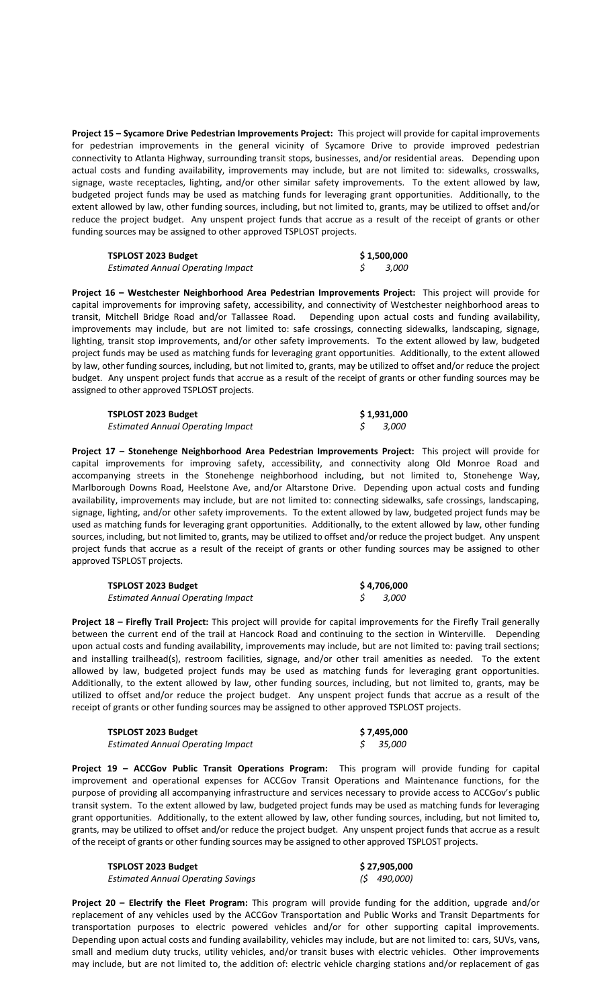**Project 15 – Sycamore Drive Pedestrian Improvements Project:** This project will provide for capital improvements for pedestrian improvements in the general vicinity of Sycamore Drive to provide improved pedestrian connectivity to Atlanta Highway, surrounding transit stops, businesses, and/or residential areas. Depending upon actual costs and funding availability, improvements may include, but are not limited to: sidewalks, crosswalks, signage, waste receptacles, lighting, and/or other similar safety improvements. To the extent allowed by law, budgeted project funds may be used as matching funds for leveraging grant opportunities. Additionally, to the extent allowed by law, other funding sources, including, but not limited to, grants, may be utilized to offset and/or reduce the project budget. Any unspent project funds that accrue as a result of the receipt of grants or other funding sources may be assigned to other approved TSPLOST projects.

| <b>TSPLOST 2023 Budget</b>               | \$1,500,000 |       |
|------------------------------------------|-------------|-------|
| <b>Estimated Annual Operating Impact</b> |             | 3,000 |

**Project 16 – Westchester Neighborhood Area Pedestrian Improvements Project:** This project will provide for capital improvements for improving safety, accessibility, and connectivity of Westchester neighborhood areas to transit, Mitchell Bridge Road and/or Tallassee Road. Depending upon actual costs and funding availability, improvements may include, but are not limited to: safe crossings, connecting sidewalks, landscaping, signage, lighting, transit stop improvements, and/or other safety improvements. To the extent allowed by law, budgeted project funds may be used as matching funds for leveraging grant opportunities. Additionally, to the extent allowed by law, other funding sources, including, but not limited to, grants, may be utilized to offset and/or reduce the project budget. Any unspent project funds that accrue as a result of the receipt of grants or other funding sources may be assigned to other approved TSPLOST projects.

| <b>TSPLOST 2023 Budget</b>               | \$1,931,000 |
|------------------------------------------|-------------|
| <b>Estimated Annual Operating Impact</b> | - 3.000     |

**Project 17 – Stonehenge Neighborhood Area Pedestrian Improvements Project:** This project will provide for capital improvements for improving safety, accessibility, and connectivity along Old Monroe Road and accompanying streets in the Stonehenge neighborhood including, but not limited to, Stonehenge Way, Marlborough Downs Road, Heelstone Ave, and/or Altarstone Drive. Depending upon actual costs and funding availability, improvements may include, but are not limited to: connecting sidewalks, safe crossings, landscaping, signage, lighting, and/or other safety improvements. To the extent allowed by law, budgeted project funds may be used as matching funds for leveraging grant opportunities. Additionally, to the extent allowed by law, other funding sources, including, but not limited to, grants, may be utilized to offset and/or reduce the project budget. Any unspent project funds that accrue as a result of the receipt of grants or other funding sources may be assigned to other approved TSPLOST projects.

| TSPLOST 2023 Budget                      | \$ 4,706,000 |
|------------------------------------------|--------------|
| <b>Estimated Annual Operating Impact</b> | - 3.000      |

**Project 18 – Firefly Trail Project:** This project will provide for capital improvements for the Firefly Trail generally between the current end of the trail at Hancock Road and continuing to the section in Winterville. Depending upon actual costs and funding availability, improvements may include, but are not limited to: paving trail sections; and installing trailhead(s), restroom facilities, signage, and/or other trail amenities as needed. To the extent allowed by law, budgeted project funds may be used as matching funds for leveraging grant opportunities. Additionally, to the extent allowed by law, other funding sources, including, but not limited to, grants, may be utilized to offset and/or reduce the project budget. Any unspent project funds that accrue as a result of the receipt of grants or other funding sources may be assigned to other approved TSPLOST projects.

| TSPLOST 2023 Budget                      | \$ 7,495,000 |
|------------------------------------------|--------------|
| <b>Estimated Annual Operating Impact</b> | \$35.000     |

**Project 19 – ACCGov Public Transit Operations Program:** This program will provide funding for capital improvement and operational expenses for ACCGov Transit Operations and Maintenance functions, for the purpose of providing all accompanying infrastructure and services necessary to provide access to ACCGov's public transit system. To the extent allowed by law, budgeted project funds may be used as matching funds for leveraging grant opportunities. Additionally, to the extent allowed by law, other funding sources, including, but not limited to, grants, may be utilized to offset and/or reduce the project budget. Any unspent project funds that accrue as a result of the receipt of grants or other funding sources may be assigned to other approved TSPLOST projects.

| TSPLOST 2023 Budget                | \$27,905,000 |             |
|------------------------------------|--------------|-------------|
| Estimated Annual Operating Savings |              | (\$490,000) |

**Project 20 – Electrify the Fleet Program:** This program will provide funding for the addition, upgrade and/or replacement of any vehicles used by the ACCGov Transportation and Public Works and Transit Departments for transportation purposes to electric powered vehicles and/or for other supporting capital improvements. Depending upon actual costs and funding availability, vehicles may include, but are not limited to: cars, SUVs, vans, small and medium duty trucks, utility vehicles, and/or transit buses with electric vehicles. Other improvements may include, but are not limited to, the addition of: electric vehicle charging stations and/or replacement of gas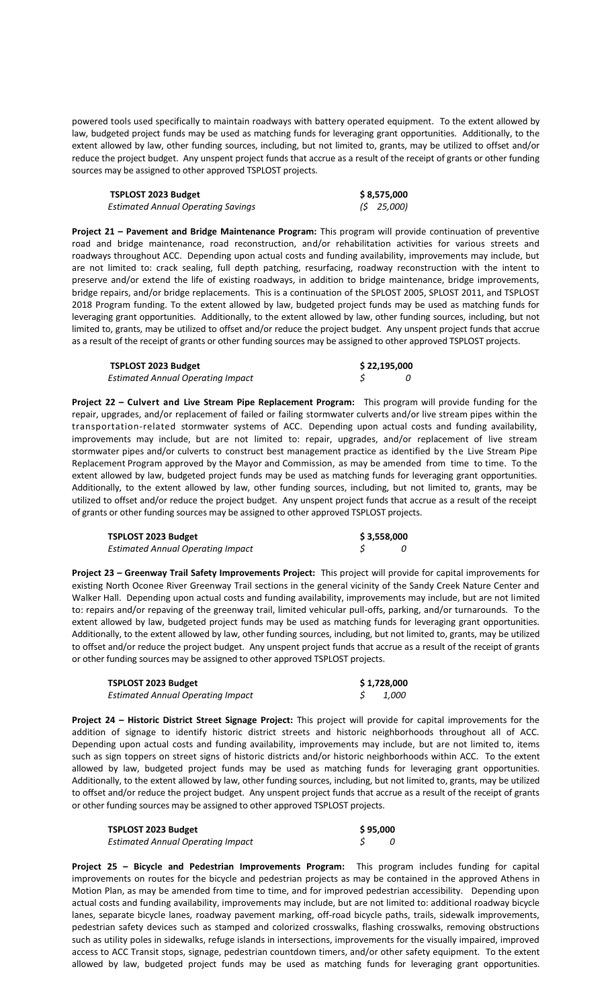powered tools used specifically to maintain roadways with battery operated equipment. To the extent allowed by law, budgeted project funds may be used as matching funds for leveraging grant opportunities. Additionally, to the extent allowed by law, other funding sources, including, but not limited to, grants, may be utilized to offset and/or reduce the project budget. Any unspent project funds that accrue as a result of the receipt of grants or other funding sources may be assigned to other approved TSPLOST projects.

| <b>TSPLOST 2023 Budget</b>         | \$8,575,000    |
|------------------------------------|----------------|
| Estimated Annual Operating Savings | $(5 \t25,000)$ |

**Project 21 – Pavement and Bridge Maintenance Program:** This program will provide continuation of preventive road and bridge maintenance, road reconstruction, and/or rehabilitation activities for various streets and roadways throughout ACC. Depending upon actual costs and funding availability, improvements may include, but are not limited to: crack sealing, full depth patching, resurfacing, roadway reconstruction with the intent to preserve and/or extend the life of existing roadways, in addition to bridge maintenance, bridge improvements, bridge repairs, and/or bridge replacements. This is a continuation of the SPLOST 2005, SPLOST 2011, and TSPLOST 2018 Program funding. To the extent allowed by law, budgeted project funds may be used as matching funds for leveraging grant opportunities. Additionally, to the extent allowed by law, other funding sources, including, but not limited to, grants, may be utilized to offset and/or reduce the project budget. Any unspent project funds that accrue as a result of the receipt of grants or other funding sources may be assigned to other approved TSPLOST projects.

| TSPLOST 2023 Budget                      | \$22,195,000 |  |
|------------------------------------------|--------------|--|
| <b>Estimated Annual Operating Impact</b> |              |  |

**Project 22 – Culvert and Live Stream Pipe Replacement Program:** This program will provide funding for the repair, upgrades, and/or replacement of failed or failing stormwater culverts and/or live stream pipes within the transportation-related stormwater systems of ACC. Depending upon actual costs and funding availability, improvements may include, but are not limited to: repair, upgrades, and/or replacement of live stream stormwater pipes and/or culverts to construct best management practice as identified by the Live Stream Pipe Replacement Program approved by the Mayor and Commission, as may be amended from time to time. To the extent allowed by law, budgeted project funds may be used as matching funds for leveraging grant opportunities. Additionally, to the extent allowed by law, other funding sources, including, but not limited to, grants, may be utilized to offset and/or reduce the project budget. Any unspent project funds that accrue as a result of the receipt of grants or other funding sources may be assigned to other approved TSPLOST projects.

| <b>TSPLOST 2023 Budget</b>               | \$3,558,000 |  |
|------------------------------------------|-------------|--|
| <b>Estimated Annual Operating Impact</b> |             |  |

**Project 23 – Greenway Trail Safety Improvements Project:** This project will provide for capital improvements for existing North Oconee River Greenway Trail sections in the general vicinity of the Sandy Creek Nature Center and Walker Hall. Depending upon actual costs and funding availability, improvements may include, but are not limited to: repairs and/or repaving of the greenway trail, limited vehicular pull-offs, parking, and/or turnarounds. To the extent allowed by law, budgeted project funds may be used as matching funds for leveraging grant opportunities. Additionally, to the extent allowed by law, other funding sources, including, but not limited to, grants, may be utilized to offset and/or reduce the project budget. Any unspent project funds that accrue as a result of the receipt of grants or other funding sources may be assigned to other approved TSPLOST projects.

| <b>TSPLOST 2023 Budget</b>               | \$1,728,000 |
|------------------------------------------|-------------|
| <b>Estimated Annual Operating Impact</b> | 1.000       |

**Project 24 – Historic District Street Signage Project:** This project will provide for capital improvements for the addition of signage to identify historic district streets and historic neighborhoods throughout all of ACC. Depending upon actual costs and funding availability, improvements may include, but are not limited to, items such as sign toppers on street signs of historic districts and/or historic neighborhoods within ACC. To the extent allowed by law, budgeted project funds may be used as matching funds for leveraging grant opportunities. Additionally, to the extent allowed by law, other funding sources, including, but not limited to, grants, may be utilized to offset and/or reduce the project budget. Any unspent project funds that accrue as a result of the receipt of grants or other funding sources may be assigned to other approved TSPLOST projects.

| TSPLOST 2023 Budget                      | \$95,000 |  |
|------------------------------------------|----------|--|
| <b>Estimated Annual Operating Impact</b> |          |  |

**Project 25 – Bicycle and Pedestrian Improvements Program:** This program includes funding for capital improvements on routes for the bicycle and pedestrian projects as may be contained in the approved Athens in Motion Plan, as may be amended from time to time, and for improved pedestrian accessibility. Depending upon actual costs and funding availability, improvements may include, but are not limited to: additional roadway bicycle lanes, separate bicycle lanes, roadway pavement marking, off-road bicycle paths, trails, sidewalk improvements, pedestrian safety devices such as stamped and colorized crosswalks, flashing crosswalks, removing obstructions such as utility poles in sidewalks, refuge islands in intersections, improvements for the visually impaired, improved access to ACC Transit stops, signage, pedestrian countdown timers, and/or other safety equipment. To the extent allowed by law, budgeted project funds may be used as matching funds for leveraging grant opportunities.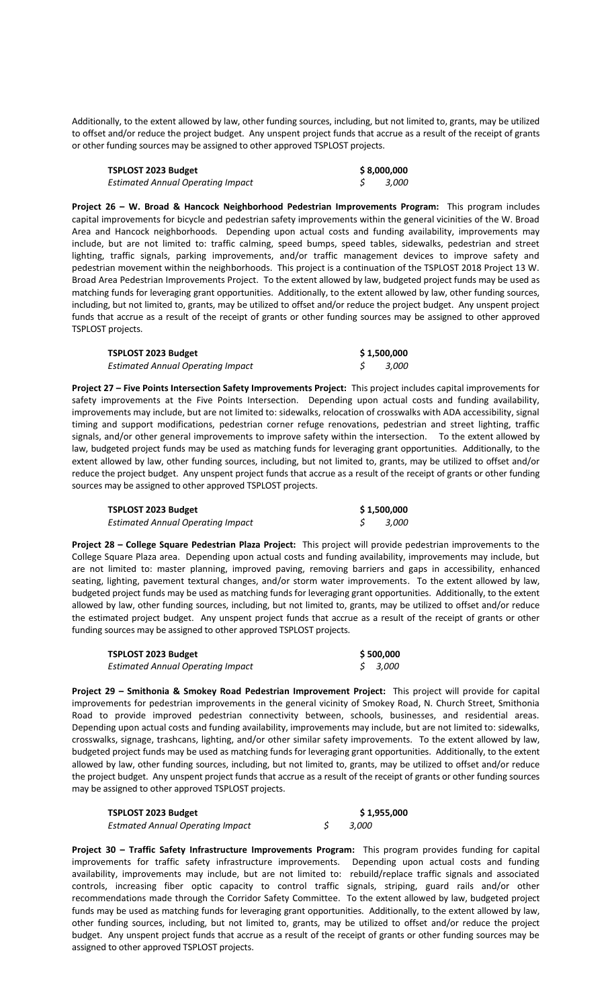Additionally, to the extent allowed by law, other funding sources, including, but not limited to, grants, may be utilized to offset and/or reduce the project budget. Any unspent project funds that accrue as a result of the receipt of grants or other funding sources may be assigned to other approved TSPLOST projects.

| TSPLOST 2023 Budget                      | \$8,000,000 |
|------------------------------------------|-------------|
| <b>Estimated Annual Operating Impact</b> | 3,000       |

**Project 26 – W. Broad & Hancock Neighborhood Pedestrian Improvements Program:** This program includes capital improvements for bicycle and pedestrian safety improvements within the general vicinities of the W. Broad Area and Hancock neighborhoods. Depending upon actual costs and funding availability, improvements may include, but are not limited to: traffic calming, speed bumps, speed tables, sidewalks, pedestrian and street lighting, traffic signals, parking improvements, and/or traffic management devices to improve safety and pedestrian movement within the neighborhoods. This project is a continuation of the TSPLOST 2018 Project 13 W. Broad Area Pedestrian Improvements Project. To the extent allowed by law, budgeted project funds may be used as matching funds for leveraging grant opportunities. Additionally, to the extent allowed by law, other funding sources, including, but not limited to, grants, may be utilized to offset and/or reduce the project budget. Any unspent project funds that accrue as a result of the receipt of grants or other funding sources may be assigned to other approved TSPLOST projects.

| TSPLOST 2023 Budget                      | \$1,500,000 |       |
|------------------------------------------|-------------|-------|
| <b>Estimated Annual Operating Impact</b> |             | 3,000 |

**Project 27 – Five Points Intersection Safety Improvements Project:** This project includes capital improvements for safety improvements at the Five Points Intersection. Depending upon actual costs and funding availability, improvements may include, but are not limited to: sidewalks, relocation of crosswalks with ADA accessibility, signal timing and support modifications, pedestrian corner refuge renovations, pedestrian and street lighting, traffic signals, and/or other general improvements to improve safety within the intersection. To the extent allowed by law, budgeted project funds may be used as matching funds for leveraging grant opportunities. Additionally, to the extent allowed by law, other funding sources, including, but not limited to, grants, may be utilized to offset and/or reduce the project budget. Any unspent project funds that accrue as a result of the receipt of grants or other funding sources may be assigned to other approved TSPLOST projects.

| <b>TSPLOST 2023 Budget</b>               | \$1,500,000 |       |
|------------------------------------------|-------------|-------|
| <b>Estimated Annual Operating Impact</b> |             | 3,000 |

**Project 28 – College Square Pedestrian Plaza Project:** This project will provide pedestrian improvements to the College Square Plaza area. Depending upon actual costs and funding availability, improvements may include, but are not limited to: master planning, improved paving, removing barriers and gaps in accessibility, enhanced seating, lighting, pavement textural changes, and/or storm water improvements. To the extent allowed by law, budgeted project funds may be used as matching funds for leveraging grant opportunities. Additionally, to the extent allowed by law, other funding sources, including, but not limited to, grants, may be utilized to offset and/or reduce the estimated project budget. Any unspent project funds that accrue as a result of the receipt of grants or other funding sources may be assigned to other approved TSPLOST projects.

| TSPLOST 2023 Budget                      | \$500,000 |         |
|------------------------------------------|-----------|---------|
| <b>Estimated Annual Operating Impact</b> |           | \$3.000 |

**Project 29 – Smithonia & Smokey Road Pedestrian Improvement Project:** This project will provide for capital improvements for pedestrian improvements in the general vicinity of Smokey Road, N. Church Street, Smithonia Road to provide improved pedestrian connectivity between, schools, businesses, and residential areas. Depending upon actual costs and funding availability, improvements may include, but are not limited to: sidewalks, crosswalks, signage, trashcans, lighting, and/or other similar safety improvements. To the extent allowed by law, budgeted project funds may be used as matching funds for leveraging grant opportunities. Additionally, to the extent allowed by law, other funding sources, including, but not limited to, grants, may be utilized to offset and/or reduce the project budget. Any unspent project funds that accrue as a result of the receipt of grants or other funding sources may be assigned to other approved TSPLOST projects.

| <b>TSPLOST 2023 Budget</b>              | \$1,955,000 |  |
|-----------------------------------------|-------------|--|
| <b>Estmated Annual Operating Impact</b> | 3.000       |  |

**Project 30 – Traffic Safety Infrastructure Improvements Program:** This program provides funding for capital improvements for traffic safety infrastructure improvements. Depending upon actual costs and funding availability, improvements may include, but are not limited to: rebuild/replace traffic signals and associated controls, increasing fiber optic capacity to control traffic signals, striping, guard rails and/or other recommendations made through the Corridor Safety Committee. To the extent allowed by law, budgeted project funds may be used as matching funds for leveraging grant opportunities. Additionally, to the extent allowed by law, other funding sources, including, but not limited to, grants, may be utilized to offset and/or reduce the project budget. Any unspent project funds that accrue as a result of the receipt of grants or other funding sources may be assigned to other approved TSPLOST projects.